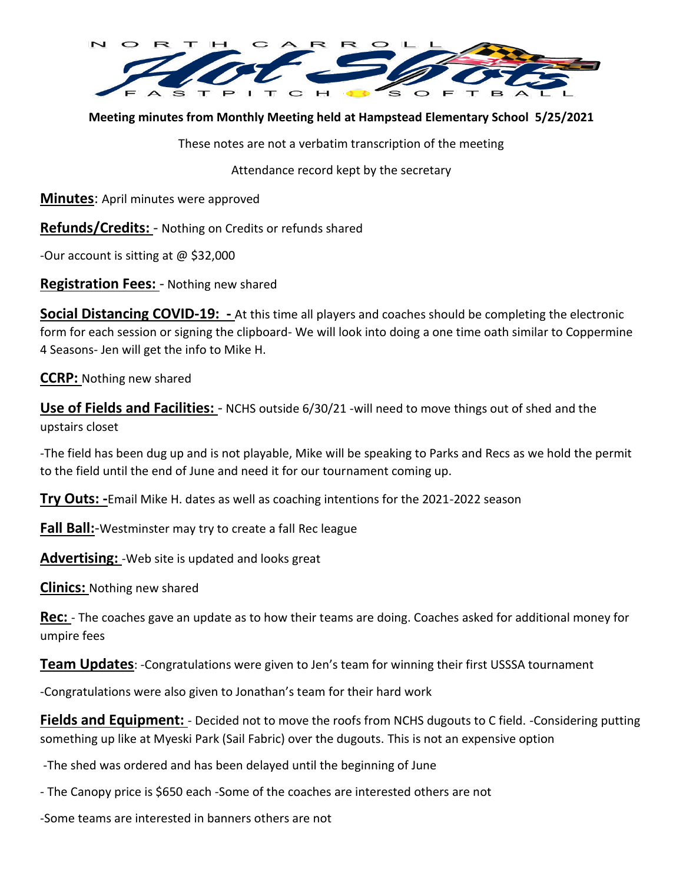

**Meeting minutes from Monthly Meeting held at Hampstead Elementary School 5/25/2021**

These notes are not a verbatim transcription of the meeting

Attendance record kept by the secretary

**Minutes**: April minutes were approved

**Refunds/Credits:** - Nothing on Credits or refunds shared

-Our account is sitting at @ \$32,000

**Registration Fees:** - Nothing new shared

**Social Distancing COVID-19: -** At this time all players and coaches should be completing the electronic form for each session or signing the clipboard- We will look into doing a one time oath similar to Coppermine 4 Seasons- Jen will get the info to Mike H.

**CCRP:** Nothing new shared

**Use of Fields and Facilities:** - NCHS outside 6/30/21 -will need to move things out of shed and the upstairs closet

-The field has been dug up and is not playable, Mike will be speaking to Parks and Recs as we hold the permit to the field until the end of June and need it for our tournament coming up.

**Try Outs: -**Email Mike H. dates as well as coaching intentions for the 2021-2022 season

**Fall Ball:**-Westminster may try to create a fall Rec league

**Advertising:** -Web site is updated and looks great

**Clinics:** Nothing new shared

**Rec:** - The coaches gave an update as to how their teams are doing. Coaches asked for additional money for umpire fees

**Team Updates**: -Congratulations were given to Jen's team for winning their first USSSA tournament

-Congratulations were also given to Jonathan's team for their hard work

**Fields and Equipment:** - Decided not to move the roofs from NCHS dugouts to C field. -Considering putting something up like at Myeski Park (Sail Fabric) over the dugouts. This is not an expensive option

-The shed was ordered and has been delayed until the beginning of June

- The Canopy price is \$650 each -Some of the coaches are interested others are not

-Some teams are interested in banners others are not